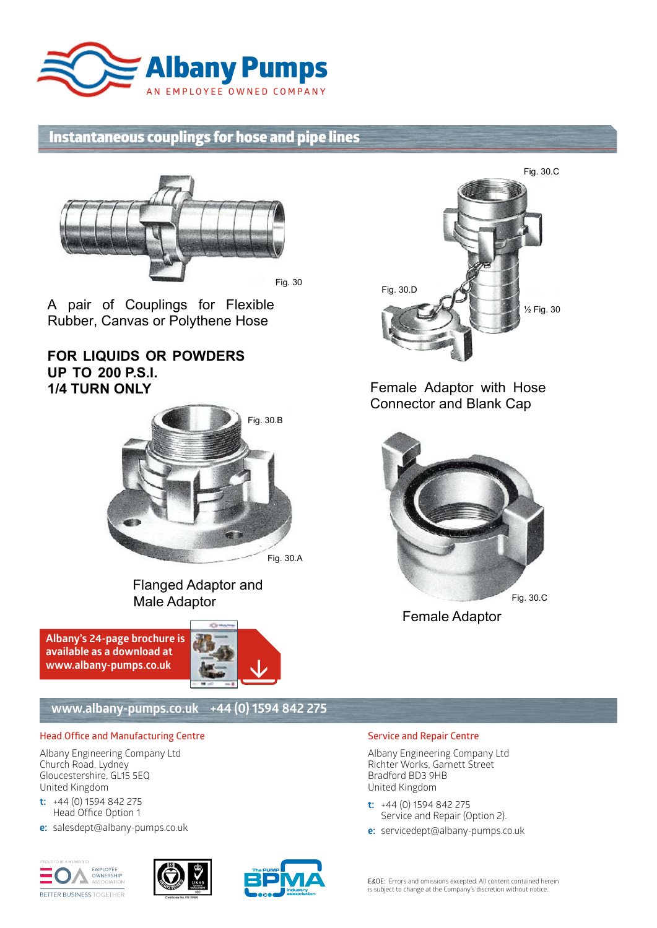

# **Instantaneous couplings for hose and pipe lines**



A pair of Couplings for Flexible A pair of Couplings for Flexible Rubber, Canvas or Polythene Hose Rubber, Canvas or Polythene Hose

# **FOR LIQUIDS OR POWDERS FOR LIQUIDS OR POWDERS UP TO 200 P.S.I. UP TO 200 P.S.I. 1/4 TURN ONLY 1/4 TURN ONLY**



Flanged Adaptor and Flanged Adaptor and Male Adaptor Male Adaptor

**Albany's 24-page brochure is available as a download at www.albany-pumps.co.uk** 



## **www.albany-pumps.co.uk +44 (0) 1594 842 275**

### **Head Office and Manufacturing Centre**

Albany Engineering Company Ltd Church Road, Lydney Gloucestershire, GL15 5EQ United Kingdom

- **t:** +44 (0) 1594 842 275 Head Office Option 1
- **e:** salesdept@albany-pumps.co.uk









Female Adaptor with Hose Female Adaptor with Hose Connector and Blank Cap Connector and Blank Cap



Female Adaptor Female Adaptor

### **Service and Repair Centre**

Albany Engineering Company Ltd Richter Works, Garnett Street Bradford BD3 9HB United Kingdom

- **t:** +44 (0) 1594 842 275 Service and Repair (Option 2).
- **e:** servicedept@albany-pumps.co.uk

E&OE: Errors and omissions excepted. All content contained herein is subject to change at the Company's discretion without notice.